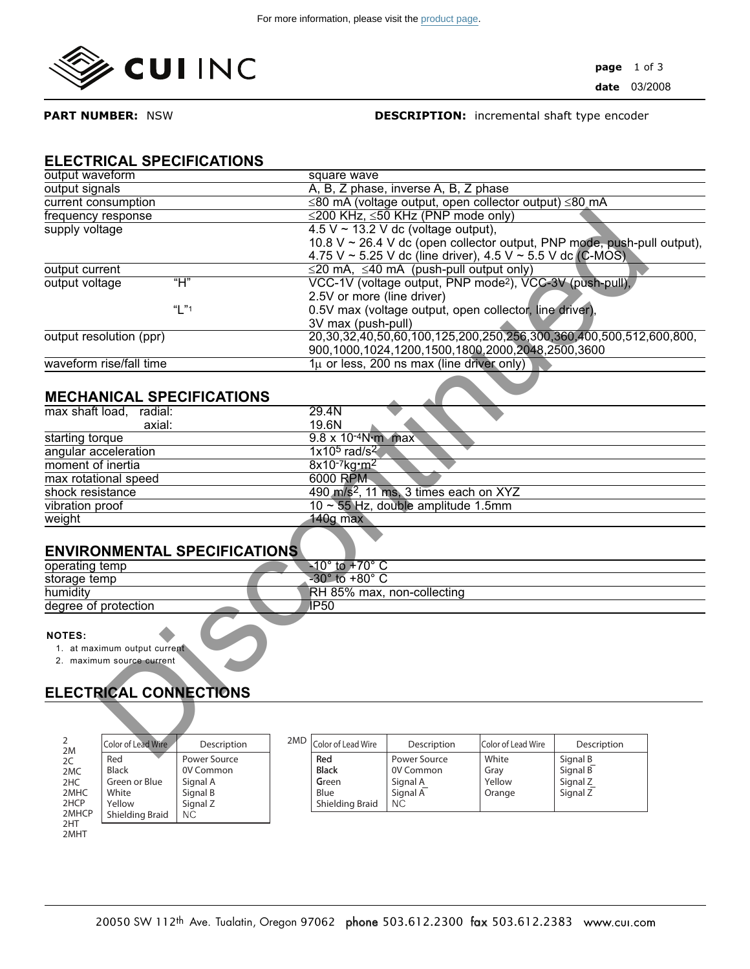

**PART NUMBER:** NSW

### **DESCRIPTION:** incremental shaft type encoder

## **ELECTRICAL SPECIFICATIONS**

| output waveform                     |             |                                                         | square wave                                                          |                                                            |                    |                                                                         |  |  |  |  |
|-------------------------------------|-------------|---------------------------------------------------------|----------------------------------------------------------------------|------------------------------------------------------------|--------------------|-------------------------------------------------------------------------|--|--|--|--|
| output signals                      |             |                                                         | A, B, Z phase, inverse A, B, Z phase                                 |                                                            |                    |                                                                         |  |  |  |  |
| current consumption                 |             |                                                         | ≤80 mA (voltage output, open collector output) ≤80 mA                |                                                            |                    |                                                                         |  |  |  |  |
| frequency response                  |             |                                                         | ≤200 KHz, ≤50 KHz (PNP mode only)                                    |                                                            |                    |                                                                         |  |  |  |  |
| supply voltage                      |             |                                                         | $4.5 V \sim 13.2 V$ dc (voltage output),                             |                                                            |                    |                                                                         |  |  |  |  |
|                                     |             |                                                         |                                                                      |                                                            |                    | 10.8 V ~ 26.4 V dc (open collector output, PNP mode, push-pull output), |  |  |  |  |
|                                     |             |                                                         |                                                                      | 4.75 V ~ 5.25 V dc (line driver), 4.5 V ~ 5.5 V dc (C-MOS) |                    |                                                                         |  |  |  |  |
| output current                      |             |                                                         |                                                                      | $\leq$ 20 mA, $\leq$ 40 mA (push-pull output only)         |                    |                                                                         |  |  |  |  |
| output voltage                      | "H"         |                                                         | VCC-1V (voltage output, PNP mode <sup>2</sup> ), VCC-3V (push-pull), |                                                            |                    |                                                                         |  |  |  |  |
|                                     | "L"1        |                                                         | 2.5V or more (line driver)                                           |                                                            |                    |                                                                         |  |  |  |  |
|                                     |             | 0.5V max (voltage output, open collector, line driver), |                                                                      |                                                            |                    |                                                                         |  |  |  |  |
|                                     |             |                                                         | 3V max (push-pull)                                                   |                                                            |                    |                                                                         |  |  |  |  |
| output resolution (ppr)             |             |                                                         | 20,30,32,40,50,60,100,125,200,250,256,300,360,400,500,512,600,800,   |                                                            |                    |                                                                         |  |  |  |  |
|                                     |             |                                                         |                                                                      | 900,1000,1024,1200,1500,1800,2000,2048,2500,3600           |                    |                                                                         |  |  |  |  |
| waveform rise/fall time             |             |                                                         |                                                                      | $1\mu$ or less, 200 ns max (line driver only)              |                    |                                                                         |  |  |  |  |
|                                     |             |                                                         |                                                                      |                                                            |                    |                                                                         |  |  |  |  |
| <b>MECHANICAL SPECIFICATIONS</b>    |             |                                                         |                                                                      |                                                            |                    |                                                                         |  |  |  |  |
| max shaft load, radial:             |             |                                                         | 29.4N                                                                |                                                            |                    |                                                                         |  |  |  |  |
| axial:                              |             |                                                         | 19.6N                                                                |                                                            |                    |                                                                         |  |  |  |  |
| starting torque                     |             |                                                         | $9.8 \times 10^{-4}$ N m max                                         |                                                            |                    |                                                                         |  |  |  |  |
| angular acceleration                |             |                                                         | $1x105$ rad/s <sup>2</sup>                                           |                                                            |                    |                                                                         |  |  |  |  |
| moment of inertia                   |             |                                                         | $8x10^{-7}$ kg m <sup>2</sup>                                        |                                                            |                    |                                                                         |  |  |  |  |
| max rotational speed                |             |                                                         | 6000 RPM                                                             |                                                            |                    |                                                                         |  |  |  |  |
| shock resistance                    |             |                                                         | 490 m/s <sup>2</sup> , 11 ms, 3 times each on XYZ                    |                                                            |                    |                                                                         |  |  |  |  |
| vibration proof                     |             |                                                         | 10 ~ 55 Hz, double amplitude 1.5mm                                   |                                                            |                    |                                                                         |  |  |  |  |
| weight                              |             |                                                         | $140g$ max                                                           |                                                            |                    |                                                                         |  |  |  |  |
|                                     |             |                                                         |                                                                      |                                                            |                    |                                                                         |  |  |  |  |
| <b>ENVIRONMENTAL SPECIFICATIONS</b> |             |                                                         |                                                                      |                                                            |                    |                                                                         |  |  |  |  |
| operating temp                      |             |                                                         | $-10^\circ$ to $+70^\circ$ C                                         |                                                            |                    |                                                                         |  |  |  |  |
| storage temp                        |             |                                                         | $-30^\circ$ to $+80^\circ$ C                                         |                                                            |                    |                                                                         |  |  |  |  |
| humidity                            |             |                                                         | RH 85% max, non-collecting                                           |                                                            |                    |                                                                         |  |  |  |  |
| degree of protection                |             |                                                         | IP50                                                                 |                                                            |                    |                                                                         |  |  |  |  |
|                                     |             |                                                         |                                                                      |                                                            |                    |                                                                         |  |  |  |  |
| <b>NOTES:</b>                       |             |                                                         |                                                                      |                                                            |                    |                                                                         |  |  |  |  |
| 1. at maximum output current        |             |                                                         |                                                                      |                                                            |                    |                                                                         |  |  |  |  |
| 2. maximum source current           |             |                                                         |                                                                      |                                                            |                    |                                                                         |  |  |  |  |
|                                     |             |                                                         |                                                                      |                                                            |                    |                                                                         |  |  |  |  |
|                                     |             |                                                         |                                                                      |                                                            |                    |                                                                         |  |  |  |  |
| <b>ELECTRICAL CONNECTIONS</b>       |             |                                                         |                                                                      |                                                            |                    |                                                                         |  |  |  |  |
|                                     |             |                                                         |                                                                      |                                                            |                    |                                                                         |  |  |  |  |
|                                     |             |                                                         |                                                                      |                                                            |                    |                                                                         |  |  |  |  |
| 2<br>Color of Lead Wire             | Description | 2MD                                                     | Color of Lead Wire                                                   | Description                                                | Color of Lead Wire | Description                                                             |  |  |  |  |
| 2M<br>- 11                          | $\sim$      |                                                         | $\sim$ $\sim$                                                        | $\sim$                                                     | $3.4.01 - 1.0$     | $\overline{1}$<br>$\sim$                                                |  |  |  |  |

## **MECHANICAL SPECIFICATIONS**

| max shaft load,<br>radial: | 29.4N                                             |
|----------------------------|---------------------------------------------------|
| axial:                     | 19.6N                                             |
| starting torque            | 9.8 x 10-4N m max                                 |
| angular acceleration       | $1x105$ rad/s <sup>2</sup>                        |
| moment of inertia          | $8x10^{-7}$ kg: m <sup>2</sup>                    |
| max rotational speed       | 6000 RPM                                          |
| shock resistance           | 490 m/s <sup>2</sup> , 11 ms, 3 times each on XYZ |
| vibration proof            | $10 \sim 55$ Hz, double amplitude 1.5mm           |
| weight                     | $140g$ max                                        |
|                            |                                                   |

# **ENVIRONMENTAL SPECIFICATIONS**

| operating temp       |  | ு∩∘<br>$\triangle 10^{\circ}$<br>to |
|----------------------|--|-------------------------------------|
| storage temp         |  | $-30^\circ$ to +80 $^\circ$ C       |
| humidity             |  | RH 85% max, non-collecting          |
| degree of protection |  | /P50.                               |
|                      |  |                                     |

#### **NOTES:**

**2MHT**

# **ELECTRICAL CONNECTIONS**

| 2<br>2M       | Color of Lead Wire     | Description               | 2MD | Color of Lead Wire  | Description               | Color of Lead Wire | Description          |
|---------------|------------------------|---------------------------|-----|---------------------|---------------------------|--------------------|----------------------|
| 2C<br>2MC     | Red<br><b>Black</b>    | Power Source<br>0V Common |     | Red<br><b>Black</b> | Power Source<br>0V Common | White<br>Grav      | Signal B<br>Signal B |
| 2HC<br>2MHC   | Green or Blue<br>White | Signal A<br>Signal B      |     | Green<br>Blue       | Signal A<br>Signal A      | Yellow<br>Orange   | Signal Z<br>Signal Z |
| 2HCP<br>2MHCP | Yellow                 | Signal Z                  |     | Shielding Braid     | <b>NC</b>                 |                    |                      |
| 2HT           | Shielding Braid        | <b>NC</b>                 |     |                     |                           |                    |                      |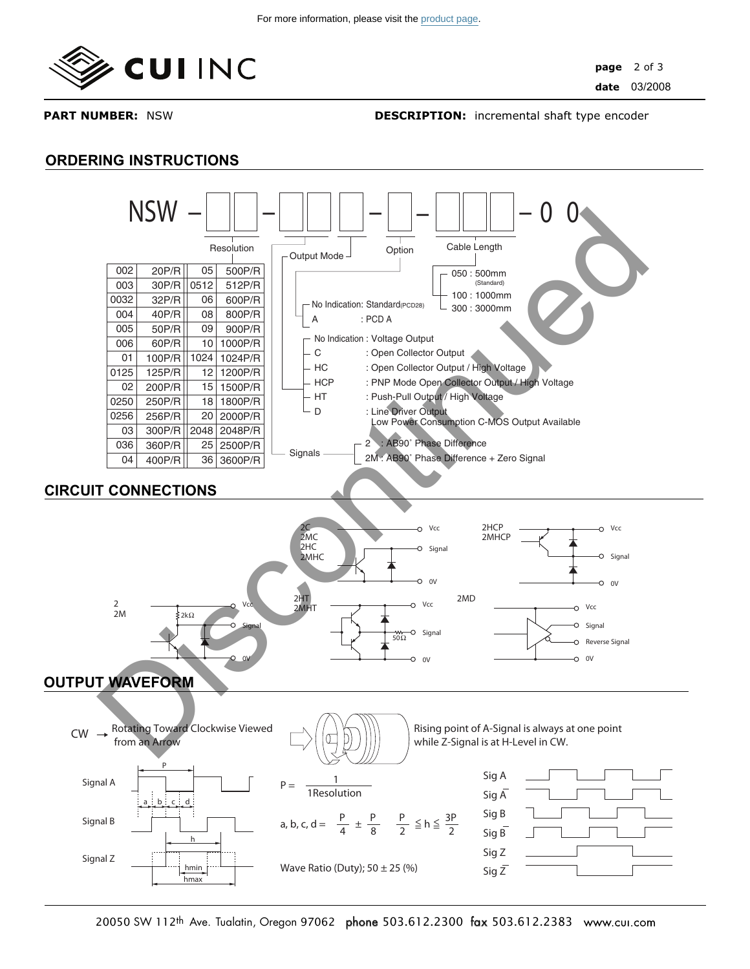

**ORDERING INSTRUCTIONS**

**PART NUMBER:** NSW

**DESCRIPTION:** incremental shaft type encoder

#### **OUTPUT WAVEFORM**  1 1Resolution  $CW \rightarrow$  Rotating Toward Clockwise Viewed from an Arrow Rising point of A-Signal is always at one point while Z-Signal is at H-Level in CW. Sig A Sig  $\overline{A}$ Sig B Sig B Sig Z Sig Z a, b, c, d =  $\frac{P}{4} \pm \frac{P}{8}$  $P =$ 8 Wave Ratio (Duty);  $50 \pm 25$  (%) Signal A Signal B Signal Z P h a b c d hmin hmax P  $\frac{P}{2} \leq h \leq \frac{3P}{2}$ **CIRCUIT CONNECTIONS** Vcc Signal 0V 2kΩ 2 2M Vcc Signa Signal 0V 2C 2MC 2HC 2MHC Vcc Reverse Signal 0V 2MD Vcc Signal  $0V$ 2HCP 2MHCP Vcc Signa  $\Omega$ 2HT 2MHT  $\frac{1}{50}$ **NSW – – – – – 0 0** No Indication : Voltage Output C : Open Collector Output HC : Open Collector Output / High Voltage HCP : PNP Mode Open Collector Output / High Voltage - HT : Push-Pull Output / High Voltage D : Line Driver Output Low Power Consumption C-MOS Output Available No Indication: Standard(PCD28) A : PCD A 2 : AB90˚ Phase Difference 2M : AB90˚ Phase Difference + Zero Signal Output Mode J Option 050 : 500mm (Standard) 100 : 1000mm 300 : 3000mm Signals -Resolution **Cable Length** Cable Length 002 003 0032 004 005 006 01 0125 02 0250 0256 03 036 04 05 0512 06 08 09 10 1024 12 15 18 20 2048 25 36 20P/R 30P/R 32P/R 40P/R 50P/R 60P/R 100P/R 125P/R 200P/R 250P/R 256P/R 300P/R 360P/R 400P/R 500P/R 512P/R 600P/R 800P/R 900P/R 1000P/R 1024P/R 1200P/R 1500P/R 1800P/R 2000P/R 2048P/R 2500P/R 3600P/R NSW =  $\frac{1}{\frac{\text{1000}}{\text{1000}} = \frac{1}{\frac{\text{1000}}{\text{1000}}}} = 0$ <br>  $\frac{1}{\frac{\text{1000}}{\text{1000}} = \frac{1}{\frac{\text{1000}}{\text{1000}}}} = \frac{0}{\frac{\text{1000}}{\text{1000}}}} = \frac{0}{\frac{\text{1000}}{\text{1000}}}} = \frac{0}{\frac{\text{1000}}{\text{1000}}}} = \frac{0}{\frac{\text{1000}}{\text{1000}}}} = \frac{0}{\frac{\text{$